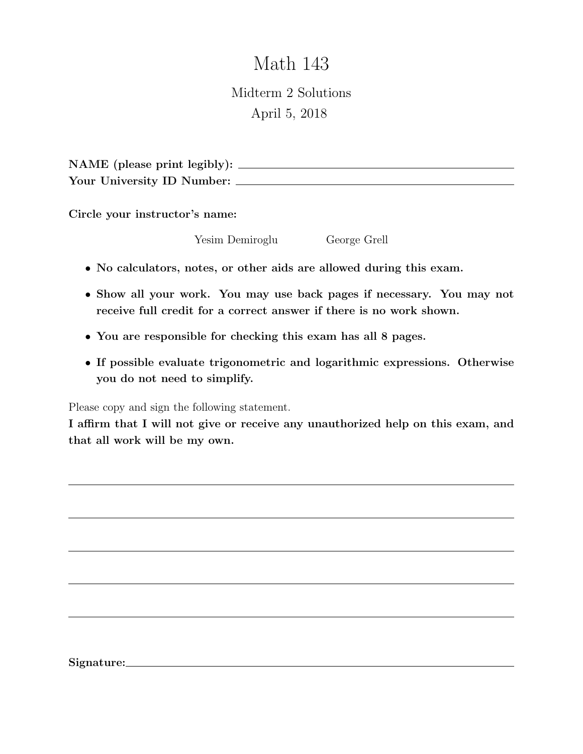# Math 143

## Midterm 2 Solutions April 5, 2018

NAME (please print legibly): Your University ID Number:

Circle your instructor's name:

Yesim Demiroglu George Grell

- No calculators, notes, or other aids are allowed during this exam.
- Show all your work. You may use back pages if necessary. You may not receive full credit for a correct answer if there is no work shown.
- You are responsible for checking this exam has all 8 pages.
- If possible evaluate trigonometric and logarithmic expressions. Otherwise you do not need to simplify.

Please copy and sign the following statement.

I affirm that I will not give or receive any unauthorized help on this exam, and that all work will be my own.

Signature: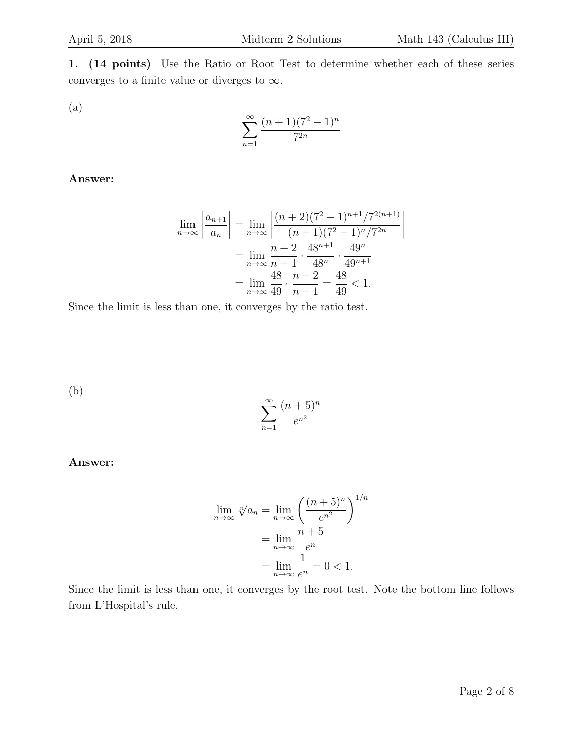1. (14 points) Use the Ratio or Root Test to determine whether each of these series converges to a finite value or diverges to  $\infty$ .

(a)

$$
\sum_{n=1}^{\infty} \frac{(n+1)(7^2-1)^n}{7^{2n}}
$$

#### Answer:

$$
\lim_{n \to \infty} \left| \frac{a_{n+1}}{a_n} \right| = \lim_{n \to \infty} \left| \frac{(n+2)(7^2 - 1)^{n+1}/7^{2(n+1)}}{(n+1)(7^2 - 1)^n/7^{2n}} \right|
$$

$$
= \lim_{n \to \infty} \frac{n+2}{n+1} \cdot \frac{48^{n+1}}{48^n} \cdot \frac{49^n}{49^{n+1}}
$$

$$
= \lim_{n \to \infty} \frac{48}{49} \cdot \frac{n+2}{n+1} = \frac{48}{49} < 1.
$$

Since the limit is less than one, it converges by the ratio test.

(b)

$$
\sum_{n=1}^{\infty} \frac{(n+5)^n}{e^{n^2}}
$$

Answer:

$$
\lim_{n \to \infty} \sqrt[n]{a_n} = \lim_{n \to \infty} \left( \frac{(n+5)^n}{e^{n^2}} \right)^{1/n}
$$

$$
= \lim_{n \to \infty} \frac{n+5}{e^n}
$$

$$
= \lim_{n \to \infty} \frac{1}{e^n} = 0 < 1.
$$

Since the limit is less than one, it converges by the root test. Note the bottom line follows from L'Hospital's rule.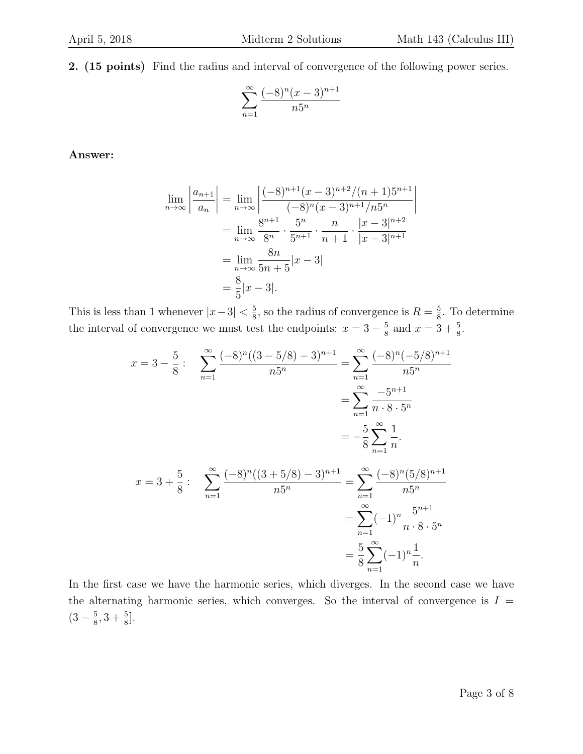2. (15 points) Find the radius and interval of convergence of the following power series.

$$
\sum_{n=1}^{\infty} \frac{(-8)^n (x-3)^{n+1}}{n5^n}
$$

Answer:

$$
\lim_{n \to \infty} \left| \frac{a_{n+1}}{a_n} \right| = \lim_{n \to \infty} \left| \frac{(-8)^{n+1} (x-3)^{n+2} / (n+1) 5^{n+1}}{(-8)^n (x-3)^{n+1} / n 5^n} \right|
$$
  
\n
$$
= \lim_{n \to \infty} \frac{8^{n+1}}{8^n} \cdot \frac{5^n}{5^{n+1}} \cdot \frac{n}{n+1} \cdot \frac{|x-3|^{n+2}}{|x-3|^{n+1}}
$$
  
\n
$$
= \lim_{n \to \infty} \frac{8n}{5n+5} |x-3|
$$
  
\n
$$
= \frac{8}{5} |x-3|.
$$

This is less than 1 whenever  $|x-3| < \frac{5}{8}$  $\frac{5}{8}$ , so the radius of convergence is  $R = \frac{5}{8}$  $\frac{5}{8}$ . To determine the interval of convergence we must test the endpoints:  $x = 3 - \frac{5}{8}$  $\frac{5}{8}$  and  $x = 3 + \frac{5}{8}$ .

$$
x = 3 - \frac{5}{8} : \sum_{n=1}^{\infty} \frac{(-8)^n ((3 - 5/8) - 3)^{n+1}}{n5^n} = \sum_{n=1}^{\infty} \frac{(-8)^n (-5/8)^{n+1}}{n5^n}
$$
  

$$
= \sum_{n=1}^{\infty} \frac{-5^{n+1}}{n \cdot 8 \cdot 5^n}
$$
  

$$
= -\frac{5}{8} \sum_{n=1}^{\infty} \frac{1}{n}.
$$
  

$$
x = 3 + \frac{5}{8} : \sum_{n=1}^{\infty} \frac{(-8)^n ((3 + 5/8) - 3)^{n+1}}{n5^n} = \sum_{n=1}^{\infty} \frac{(-8)^n (5/8)^{n+1}}{n5^n}
$$
  

$$
= \sum_{n=1}^{\infty} (-1)^n \frac{5^{n+1}}{n \cdot 8 \cdot 5^n}
$$
  

$$
= \frac{5}{8} \sum_{n=1}^{\infty} (-1)^n \frac{1}{n}.
$$

In the first case we have the harmonic series, which diverges. In the second case we have the alternating harmonic series, which converges. So the interval of convergence is  $I =$  $(3-\frac{5}{8})$  $\frac{5}{8}$ , 3 +  $\frac{5}{8}$ .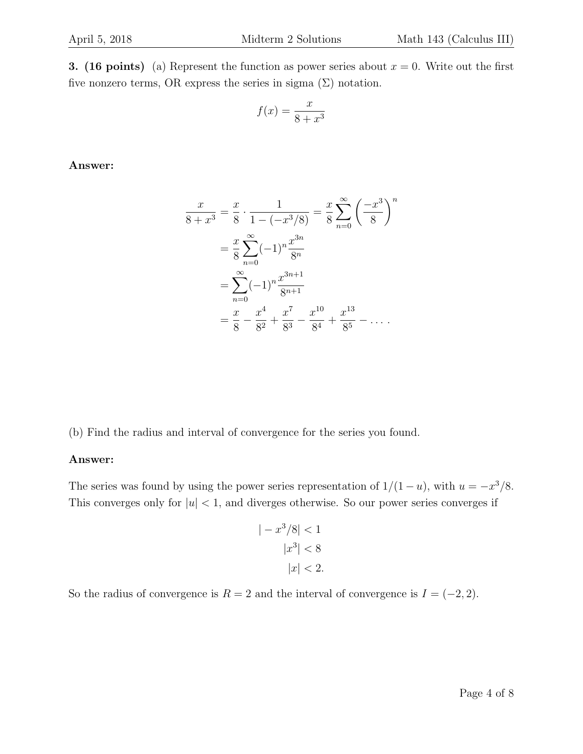**3. (16 points)** (a) Represent the function as power series about  $x = 0$ . Write out the first five nonzero terms, OR express the series in sigma  $(\Sigma)$  notation.

$$
f(x) = \frac{x}{8 + x^3}
$$

Answer:

$$
\frac{x}{8+x^3} = \frac{x}{8} \cdot \frac{1}{1 - (-x^3/8)} = \frac{x}{8} \sum_{n=0}^{\infty} \left(\frac{-x^3}{8}\right)^n
$$

$$
= \frac{x}{8} \sum_{n=0}^{\infty} (-1)^n \frac{x^{3n}}{8^n}
$$

$$
= \sum_{n=0}^{\infty} (-1)^n \frac{x^{3n+1}}{8^{n+1}}
$$

$$
= \frac{x}{8} - \frac{x^4}{8^2} + \frac{x^7}{8^3} - \frac{x^{10}}{8^4} + \frac{x^{13}}{8^5} - \dots
$$

(b) Find the radius and interval of convergence for the series you found.

#### Answer:

The series was found by using the power series representation of  $1/(1-u)$ , with  $u = -x^3/8$ . This converges only for  $|u| < 1$ , and diverges otherwise. So our power series converges if

$$
|-x^3/8| < 1
$$
\n
$$
|x^3| < 8
$$
\n
$$
|x| < 2
$$

So the radius of convergence is  $R = 2$  and the interval of convergence is  $I = (-2, 2)$ .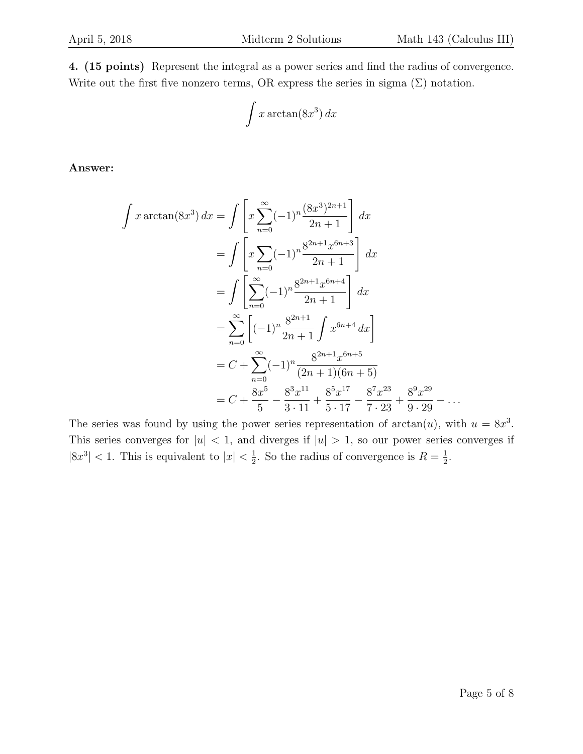4. (15 points) Represent the integral as a power series and find the radius of convergence. Write out the first five nonzero terms, OR express the series in sigma  $(\Sigma)$  notation.

$$
\int x \arctan(8x^3) \, dx
$$

Answer:

$$
\int x \arctan(8x^3) dx = \int \left[ x \sum_{n=0}^{\infty} (-1)^n \frac{(8x^3)^{2n+1}}{2n+1} \right] dx
$$
  
\n
$$
= \int \left[ x \sum_{n=0}^{\infty} (-1)^n \frac{8^{2n+1} x^{6n+3}}{2n+1} \right] dx
$$
  
\n
$$
= \int \left[ \sum_{n=0}^{\infty} (-1)^n \frac{8^{2n+1} x^{6n+4}}{2n+1} \right] dx
$$
  
\n
$$
= \sum_{n=0}^{\infty} \left[ (-1)^n \frac{8^{2n+1}}{2n+1} \int x^{6n+4} dx \right]
$$
  
\n
$$
= C + \sum_{n=0}^{\infty} (-1)^n \frac{8^{2n+1} x^{6n+5}}{(2n+1)(6n+5)}
$$
  
\n
$$
= C + \frac{8x^5}{5} - \frac{8^3 x^{11}}{3 \cdot 11} + \frac{8^5 x^{17}}{5 \cdot 17} - \frac{8^7 x^{23}}{7 \cdot 23} + \frac{8^9 x^{29}}{9 \cdot 29} - \dots
$$

The series was found by using the power series representation of  $arctan(u)$ , with  $u = 8x<sup>3</sup>$ . This series converges for  $|u| < 1$ , and diverges if  $|u| > 1$ , so our power series converges if  $|8x^3|$  < 1. This is equivalent to  $|x| < \frac{1}{2}$  $\frac{1}{2}$ . So the radius of convergence is  $R = \frac{1}{2}$  $\frac{1}{2}$ .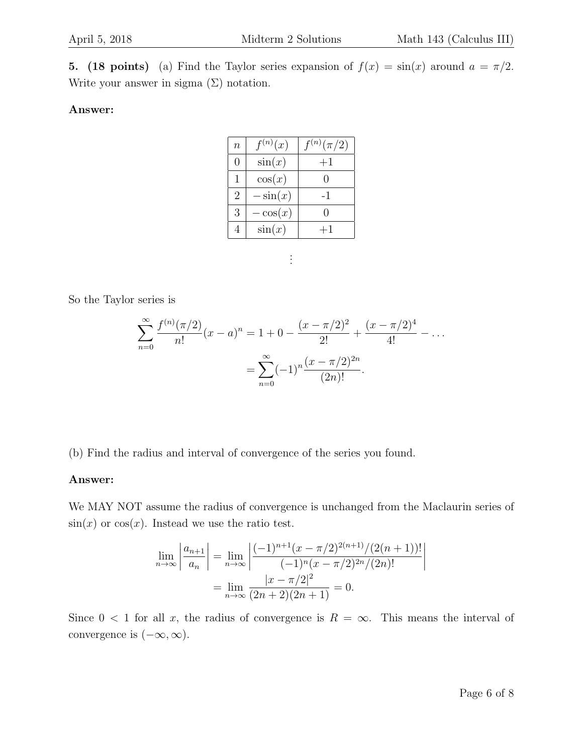5. (18 points) (a) Find the Taylor series expansion of  $f(x) = \sin(x)$  around  $a = \pi/2$ . Write your answer in sigma  $(\Sigma)$  notation.

#### Answer:

| $\boldsymbol{n}$ | $f^{(n)}(x)$ | $f^{(n)}(\pi/2)$ |
|------------------|--------------|------------------|
| 0                | $\sin(x)$    | $+1$             |
|                  |              |                  |
| 1                | $\cos(x)$    |                  |
| $\overline{2}$   | $-\sin(x)$   | -1               |
| 3                | $-\cos(x)$   | $\cup$           |
|                  | $\sin(x)$    | $\vdash$ l       |

. . .

So the Taylor series is

$$
\sum_{n=0}^{\infty} \frac{f^{(n)}(\pi/2)}{n!} (x - a)^n = 1 + 0 - \frac{(x - \pi/2)^2}{2!} + \frac{(x - \pi/2)^4}{4!} - \dots
$$

$$
= \sum_{n=0}^{\infty} (-1)^n \frac{(x - \pi/2)^{2n}}{(2n)!}.
$$

(b) Find the radius and interval of convergence of the series you found.

#### Answer:

We MAY NOT assume the radius of convergence is unchanged from the Maclaurin series of  $\sin(x)$  or  $\cos(x)$ . Instead we use the ratio test.

$$
\lim_{n \to \infty} \left| \frac{a_{n+1}}{a_n} \right| = \lim_{n \to \infty} \left| \frac{(-1)^{n+1} (x - \pi/2)^{2(n+1)}/(2(n+1))!}{(-1)^n (x - \pi/2)^{2n}/(2n)!} \right|
$$

$$
= \lim_{n \to \infty} \frac{|x - \pi/2|^2}{(2n+2)(2n+1)} = 0.
$$

Since  $0 < 1$  for all x, the radius of convergence is  $R = \infty$ . This means the interval of convergence is  $(-\infty, \infty)$ .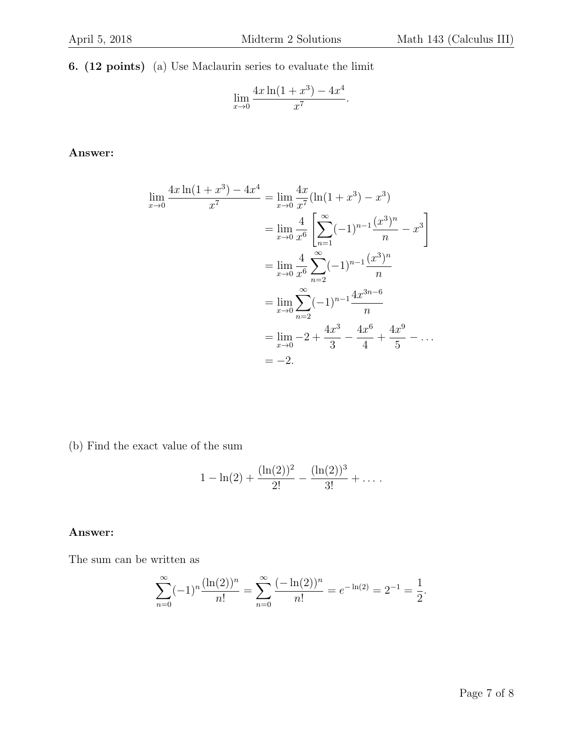6. (12 points) (a) Use Maclaurin series to evaluate the limit

$$
\lim_{x \to 0} \frac{4x \ln(1+x^3) - 4x^4}{x^7}.
$$

Answer:

$$
\lim_{x \to 0} \frac{4x \ln(1+x^3) - 4x^4}{x^7} = \lim_{x \to 0} \frac{4x}{x^7} (\ln(1+x^3) - x^3)
$$

$$
= \lim_{x \to 0} \frac{4}{x^6} \left[ \sum_{n=1}^{\infty} (-1)^{n-1} \frac{(x^3)^n}{n} - x^3 \right]
$$

$$
= \lim_{x \to 0} \frac{4}{x^6} \sum_{n=2}^{\infty} (-1)^{n-1} \frac{(x^3)^n}{n}
$$

$$
= \lim_{x \to 0} \sum_{n=2}^{\infty} (-1)^{n-1} \frac{4x^{3n-6}}{n}
$$

$$
= \lim_{x \to 0} -2 + \frac{4x^3}{3} - \frac{4x^6}{4} + \frac{4x^9}{5} - \dots
$$

$$
= -2.
$$

(b) Find the exact value of the sum

$$
1 - \ln(2) + \frac{(\ln(2))^2}{2!} - \frac{(\ln(2))^3}{3!} + \dots
$$

#### Answer:

The sum can be written as

$$
\sum_{n=0}^{\infty} (-1)^n \frac{(\ln(2))^n}{n!} = \sum_{n=0}^{\infty} \frac{(-\ln(2))^n}{n!} = e^{-\ln(2)} = 2^{-1} = \frac{1}{2}.
$$